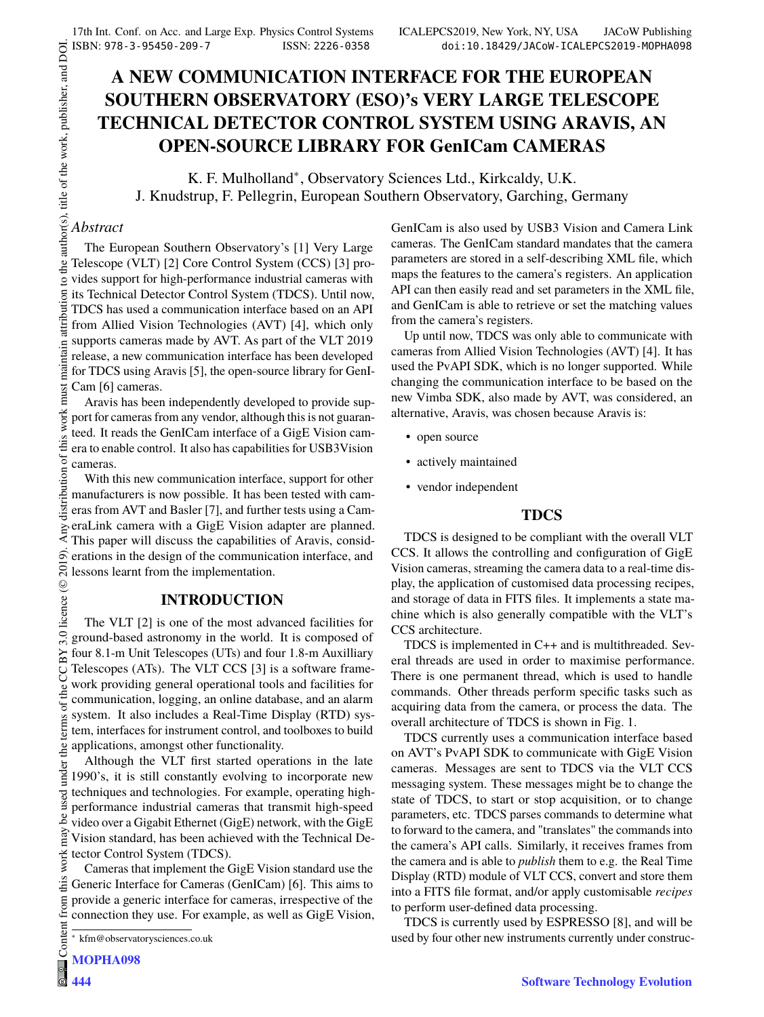# **A NEW COMMUNICATION INTERFACE FOR THE EUROPEAN SOUTHERN OBSERVATORY (ESO)'s VERY LARGE TELESCOPE TECHNICAL DETECTOR CONTROL SYSTEM USING ARAVIS, AN OPEN-SOURCE LIBRARY FOR GenICam CAMERAS**

K. F. Mulholland<sup>∗</sup> , Observatory Sciences Ltd., Kirkcaldy, U.K. J. Knudstrup, F. Pellegrin, European Southern Observatory, Garching, Germany

### *Abstract*

the author(s), title of the work, publisher, and DOI.  $\circledcirc$  2019). Any distribution of this work must maintain attribution to the author(s), title of the work, publisher, and DOI. The European Southern Observatory's [1] Very Large Telescope (VLT) [2] Core Control System (CCS) [3] provides support for high-performance industrial cameras with  $\alpha$ naintain attribution its Technical Detector Control System (TDCS). Until now, TDCS has used a communication interface based on an API from Allied Vision Technologies (AVT) [4], which only supports cameras made by AVT. As part of the VLT 2019 release, a new communication interface has been developed for TDCS using Aravis [5], the open-source library for GenI-Cam [6] cameras.

must Aravis has been independently developed to provide supthis work port for cameras from any vendor, although this is not guaranteed. It reads the GenICam interface of a GigE Vision camera to enable control. It also has capabilities for USB3Vision cameras.

distribution of With this new communication interface, support for other manufacturers is now possible. It has been tested with cameras from AVT and Basler [7], and further tests using a Cam-Any c eraLink camera with a GigE Vision adapter are planned. This paper will discuss the capabilities of Aravis, consid-2019). erations in the design of the communication interface, and lessons learnt from the implementation.

## **INTRODUCTION**

©Content from this work may be used under the terms of the CC BY 3.0 licence ( $@$ The VLT [2] is one of the most advanced facilities for BY 3.0 ground-based astronomy in the world. It is composed of four 8.1-m Unit Telescopes (UTs) and four 1.8-m Auxilliary Telescopes (ATs). The VLT CCS [3] is a software frameg work providing general operational tools and facilities for the communication, logging, an online database, and an alarm terms of system. It also includes a Real-Time Display (RTD) system, interfaces for instrument control, and toolboxes to build  $the<sub>1</sub>$ applications, amongst other functionality.

Although the VLT first started operations in the late under 1990's, it is still constantly evolving to incorporate new techniques and technologies. For example, operating highperformance industrial cameras that transmit high-speed  $be$ video over a Gigabit Ethernet (GigE) network, with the GigE may Vision standard, has been achieved with the Technical Dework: tector Control System (TDCS).

Cameras that implement the GigE Vision standard use the 'nз Generic Interface for Cameras (GenICam) [6]. This aims to from provide a generic interface for cameras, irrespective of the connection they use. For example, as well as GigE Vision,

Conten **MOPHA098**

**444**

GenICam is also used by USB3 Vision and Camera Link cameras. The GenICam standard mandates that the camera parameters are stored in a self-describing XML file, which maps the features to the camera's registers. An application API can then easily read and set parameters in the XML file, and GenICam is able to retrieve or set the matching values from the camera's registers.

Up until now, TDCS was only able to communicate with cameras from Allied Vision Technologies (AVT) [4]. It has used the PvAPI SDK, which is no longer supported. While changing the communication interface to be based on the new Vimba SDK, also made by AVT, was considered, an alternative, Aravis, was chosen because Aravis is:

- open source
- actively maintained
- vendor independent

## **TDCS**

TDCS is designed to be compliant with the overall VLT CCS. It allows the controlling and configuration of GigE Vision cameras, streaming the camera data to a real-time display, the application of customised data processing recipes, and storage of data in FITS files. It implements a state machine which is also generally compatible with the VLT's CCS architecture.

TDCS is implemented in C++ and is multithreaded. Several threads are used in order to maximise performance. There is one permanent thread, which is used to handle commands. Other threads perform specific tasks such as acquiring data from the camera, or process the data. The overall architecture of TDCS is shown in Fig. 1.

TDCS currently uses a communication interface based on AVT's PvAPI SDK to communicate with GigE Vision cameras. Messages are sent to TDCS via the VLT CCS messaging system. These messages might be to change the state of TDCS, to start or stop acquisition, or to change parameters, etc. TDCS parses commands to determine what to forward to the camera, and "translates" the commands into the camera's API calls. Similarly, it receives frames from the camera and is able to *publish* them to e.g. the Real Time Display (RTD) module of VLT CCS, convert and store them into a FITS file format, and/or apply customisable *recipes* to perform user-defined data processing.

TDCS is currently used by ESPRESSO [8], and will be used by four other new instruments currently under construc-

<sup>∗</sup> kfm@observatorysciences.co.uk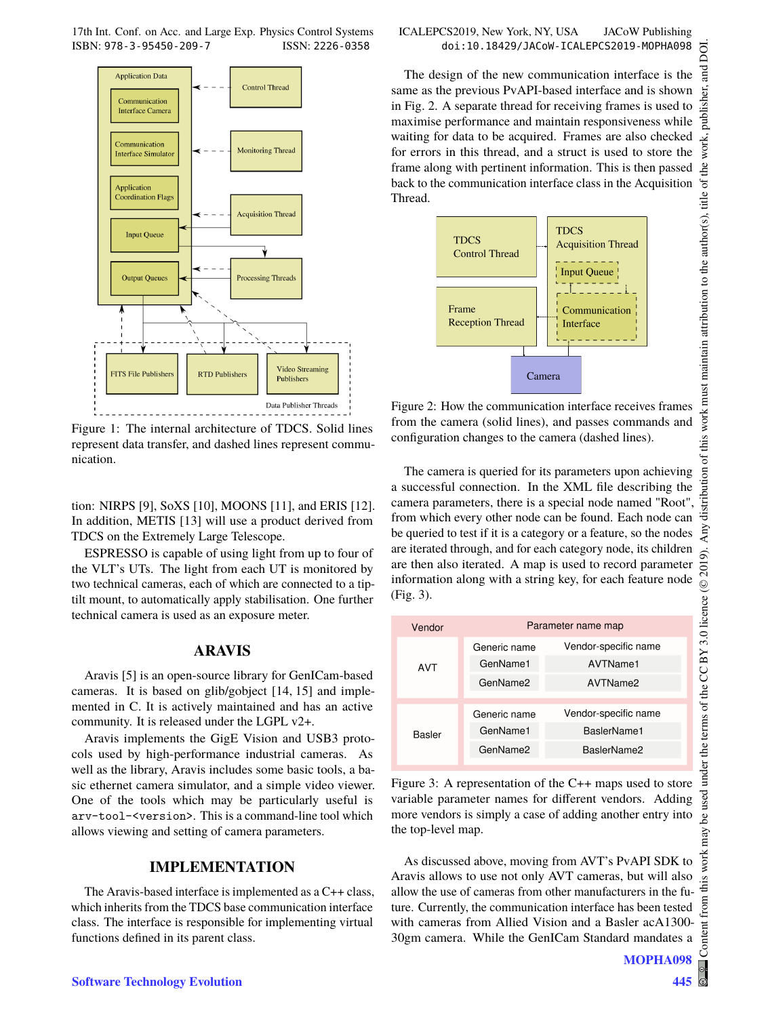17th Int. Conf. on Acc. and Large Exp. Physics Control Systems ICALEPCS2019, New York, NY, USA JACoW Publishing ISBN: 978-3-95450-209-7 ISSN: 2226-0358 doi:10.18429/JACoW-ICALEPCS2019-MOPHA098



Figure 1: The internal architecture of TDCS. Solid lines represent data transfer, and dashed lines represent communication.

tion: NIRPS [9], SoXS [10], MOONS [11], and ERIS [12]. In addition, METIS [13] will use a product derived from TDCS on the Extremely Large Telescope.

ESPRESSO is capable of using light from up to four of the VLT's UTs. The light from each UT is monitored by two technical cameras, each of which are connected to a tiptilt mount, to automatically apply stabilisation. One further technical camera is used as an exposure meter.

#### **ARAVIS**

Aravis [5] is an open-source library for GenICam-based cameras. It is based on glib/gobject [14, 15] and implemented in C. It is actively maintained and has an active community. It is released under the LGPL v2+.

Aravis implements the GigE Vision and USB3 protocols used by high-performance industrial cameras. As well as the library, Aravis includes some basic tools, a basic ethernet camera simulator, and a simple video viewer. One of the tools which may be particularly useful is arv-tool-<version>. This is a command-line tool which allows viewing and setting of camera parameters.

### **IMPLEMENTATION**

The Aravis-based interface is implemented as a C++ class, which inherits from the TDCS base communication interface class. The interface is responsible for implementing virtual functions defined in its parent class.

The design of the new communication interface is the same as the previous PvAPI-based interface and is shown in Fig. 2. A separate thread for receiving frames is used to maximise performance and maintain responsiveness while waiting for data to be acquired. Frames are also checked for errors in this thread, and a struct is used to store the frame along with pertinent information. This is then passed back to the communication interface class in the Acquisition Thread.



Figure 2: How the communication interface receives frames from the camera (solid lines), and passes commands and configuration changes to the camera (dashed lines).

The camera is queried for its parameters upon achieving a successful connection. In the XML file describing the camera parameters, there is a special node named "Root", from which every other node can be found. Each node can be queried to test if it is a category or a feature, so the nodes are iterated through, and for each category node, its children are then also iterated. A map is used to record parameter information along with a string key, for each feature node (Fig. 3).

| Vendor | Parameter name map |                      |
|--------|--------------------|----------------------|
| AVT    | Generic name       | Vendor-specific name |
|        | GenName1           | AVTName1             |
|        | GenName2           | AVTName2             |
|        |                    |                      |
| Basler | Generic name       | Vendor-specific name |
|        | GenName1           | BaslerName1          |
|        | GenName2           | BaslerName2          |
|        |                    |                      |

Figure 3: A representation of the C++ maps used to store variable parameter names for different vendors. Adding more vendors is simply a case of adding another entry into the top-level map.

As discussed above, moving from AVT's PvAPI SDK to Aravis allows to use not only AVT cameras, but will also allow the use of cameras from other manufacturers in the future. Currently, the communication interface has been tested with cameras from Allied Vision and a Basler acA1300- 30gm camera. While the GenICam Standard mandates a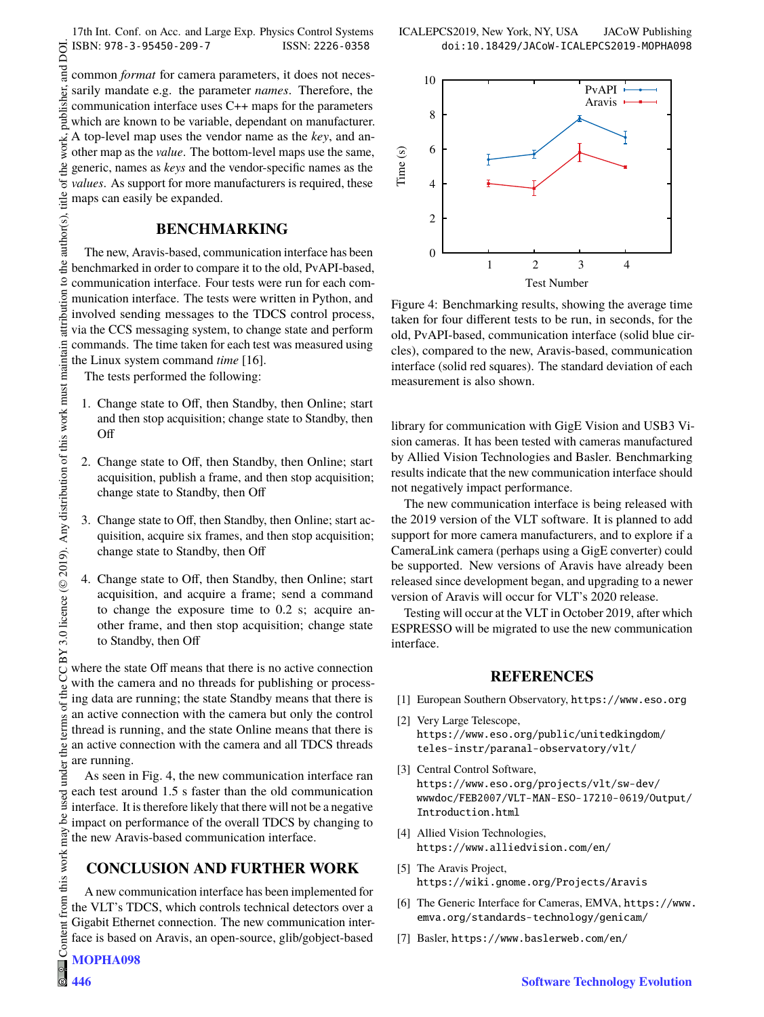17th Int. Conf. on Acc. and Large Exp. Physics Control Systems ICALEPCS2019, New York, NY, USA JACoW Publishing ISBN: 978-3-95450-209-7 ISSN: 2226-0358 doi:10.18429/JACoW-ICALEPCS2019-MOPHA098

and DOI.  $\odot$  2019). Any distribution of this work must maintain attribution to the author(s), title of the work, publisher, and DOI. common *format* for camera parameters, it does not necespublisher. sarily mandate e.g. the parameter *names*. Therefore, the communication interface uses C++ maps for the parameters which are known to be variable, dependant on manufacturer. work, A top-level map uses the vendor name as the *key*, and another map as the *value*. The bottom-level maps use the same, of the generic, names as *keys* and the vendor-specific names as the *values*. As support for more manufacturers is required, these author(s), title maps can easily be expanded.

## **BENCHMARKING**

The new, Aravis-based, communication interface has been benchmarked in order to compare it to the old, PvAPI-based, communication interface. Four tests were run for each communication interface. The tests were written in Python, and involved sending messages to the TDCS control process, via the CCS messaging system, to change state and perform commands. The time taken for each test was measured using the Linux system command *time* [16]. CC BY 3.0 licence ( $@$  2019). Any distribution of this work must maintain

The tests performed the following:

the  $\Omega$ 

attribution

- 1. Change state to Off, then Standby, then Online; start and then stop acquisition; change state to Standby, then Off
- 2. Change state to Off, then Standby, then Online; start acquisition, publish a frame, and then stop acquisition; change state to Standby, then Off
- 3. Change state to Off, then Standby, then Online; start acquisition, acquire six frames, and then stop acquisition; change state to Standby, then Off
- 4. Change state to Off, then Standby, then Online; start acquisition, and acquire a frame; send a command to change the exposure time to 0.2 s; acquire another frame, and then stop acquisition; change state to Standby, then Off

where the state Off means that there is no active connection with the camera and no threads for publishing or processing data are running; the state Standby means that there is an active connection with the camera but only the control thread is running, and the state Online means that there is an active connection with the camera and all TDCS threads are running.

As seen in Fig. 4, the new communication interface ran each test around 1.5 s faster than the old communication interface. It is therefore likely that there will not be a negative impact on performance of the overall TDCS by changing to the new Aravis-based communication interface.

## **CONCLUSION AND FURTHER WORK**

A new communication interface has been implemented for the VLT's TDCS, which controls technical detectors over a Gigabit Ethernet connection. The new communication interface is based on Aravis, an open-source, glib/gobject-based

**446**



Figure 4: Benchmarking results, showing the average time taken for four different tests to be run, in seconds, for the old, PvAPI-based, communication interface (solid blue circles), compared to the new, Aravis-based, communication interface (solid red squares). The standard deviation of each measurement is also shown.

library for communication with GigE Vision and USB3 Vision cameras. It has been tested with cameras manufactured by Allied Vision Technologies and Basler. Benchmarking results indicate that the new communication interface should not negatively impact performance.

The new communication interface is being released with the 2019 version of the VLT software. It is planned to add support for more camera manufacturers, and to explore if a CameraLink camera (perhaps using a GigE converter) could be supported. New versions of Aravis have already been released since development began, and upgrading to a newer version of Aravis will occur for VLT's 2020 release.

Testing will occur at the VLT in October 2019, after which ESPRESSO will be migrated to use the new communication interface.

#### **REFERENCES**

- [1] European Southern Observatory, https://www.eso.org
- [2] Very Large Telescope, https://www.eso.org/public/unitedkingdom/ teles-instr/paranal-observatory/vlt/
- [3] Central Control Software, https://www.eso.org/projects/vlt/sw-dev/ wwwdoc/FEB2007/VLT-MAN-ESO-17210-0619/Output/ Introduction.html
- [4] Allied Vision Technologies, https://www.alliedvision.com/en/
- [5] The Aravis Project, https://wiki.gnome.org/Projects/Aravis
- [6] The Generic Interface for Cameras, EMVA, https://www. emva.org/standards-technology/genicam/
- [7] Basler, https://www.baslerweb.com/en/

the

terms of

 $the<sub>1</sub>$ under<sup>-</sup>

used \_e